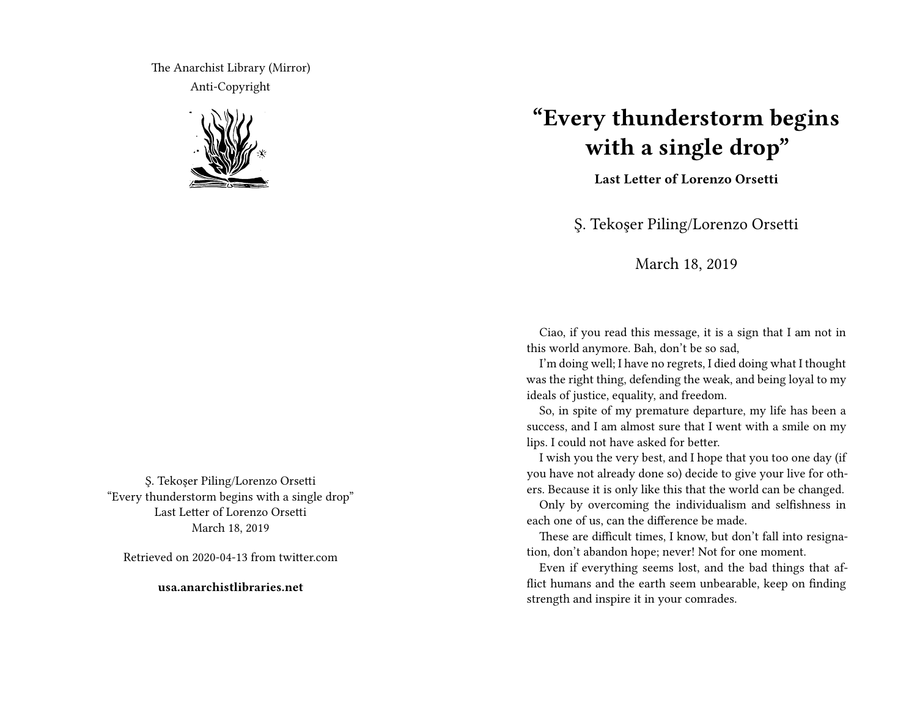The Anarchist Library (Mirror) Anti-Copyright



Ş. Tekoşer Piling/Lorenzo Orsetti "Every thunderstorm begins with a single drop" Last Letter of Lorenzo Orsetti March 18, 2019

Retrieved on 2020-04-13 from twitter.com

**usa.anarchistlibraries.net**

## **"Every thunderstorm begins with a single drop"**

**Last Letter of Lorenzo Orsetti**

Ş. Tekoşer Piling/Lorenzo Orsetti

## March 18, 2019

Ciao, if you read this message, it is a sign that I am not in this world anymore. Bah, don't be so sad,

I'm doing well; I have no regrets, I died doing what I thought was the right thing, defending the weak, and being loyal to my ideals of justice, equality, and freedom.

So, in spite of my premature departure, my life has been a success, and I am almost sure that I went with a smile on my lips. I could not have asked for better.

I wish you the very best, and I hope that you too one day (if you have not already done so) decide to give your live for others. Because it is only like this that the world can be changed.

Only by overcoming the individualism and selfishness in each one of us, can the difference be made.

These are difficult times, I know, but don't fall into resignation, don't abandon hope; never! Not for one moment.

Even if everything seems lost, and the bad things that afflict humans and the earth seem unbearable, keep on finding strength and inspire it in your comrades.